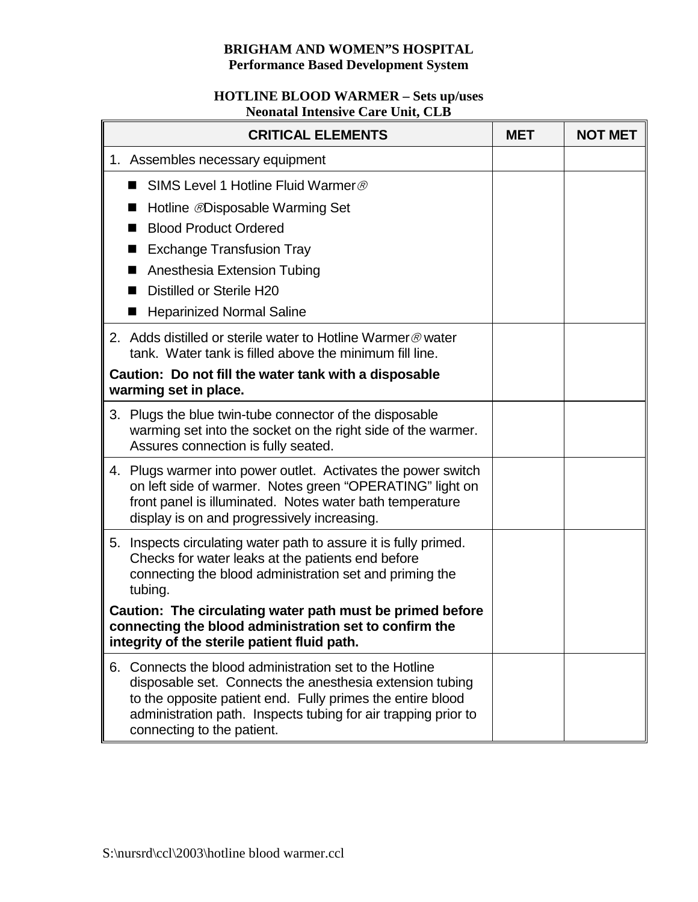## **BRIGHAM AND WOMEN"S HOSPITAL Performance Based Development System**

## **HOTLINE BLOOD WARMER – Sets up/uses Neonatal Intensive Care Unit, CLB**

| <b>CRITICAL ELEMENTS</b>                                                                                                                                            |                                                                                                                                                                                                                                                                                | <b>MET</b> | <b>NOT MET</b> |
|---------------------------------------------------------------------------------------------------------------------------------------------------------------------|--------------------------------------------------------------------------------------------------------------------------------------------------------------------------------------------------------------------------------------------------------------------------------|------------|----------------|
|                                                                                                                                                                     | 1. Assembles necessary equipment                                                                                                                                                                                                                                               |            |                |
|                                                                                                                                                                     | SIMS Level 1 Hotline Fluid Warmer ®<br>m.                                                                                                                                                                                                                                      |            |                |
|                                                                                                                                                                     | Hotline <i>®</i> Disposable Warming Set<br>■                                                                                                                                                                                                                                   |            |                |
|                                                                                                                                                                     | <b>Blood Product Ordered</b>                                                                                                                                                                                                                                                   |            |                |
|                                                                                                                                                                     | <b>Exchange Transfusion Tray</b>                                                                                                                                                                                                                                               |            |                |
|                                                                                                                                                                     | Anesthesia Extension Tubing                                                                                                                                                                                                                                                    |            |                |
|                                                                                                                                                                     | Distilled or Sterile H20                                                                                                                                                                                                                                                       |            |                |
|                                                                                                                                                                     | <b>Heparinized Normal Saline</b><br>■                                                                                                                                                                                                                                          |            |                |
|                                                                                                                                                                     | 2. Adds distilled or sterile water to Hotline Warmer @ water<br>tank. Water tank is filled above the minimum fill line.                                                                                                                                                        |            |                |
|                                                                                                                                                                     | Caution: Do not fill the water tank with a disposable<br>warming set in place.                                                                                                                                                                                                 |            |                |
|                                                                                                                                                                     | 3. Plugs the blue twin-tube connector of the disposable<br>warming set into the socket on the right side of the warmer.<br>Assures connection is fully seated.                                                                                                                 |            |                |
|                                                                                                                                                                     | 4. Plugs warmer into power outlet. Activates the power switch<br>on left side of warmer. Notes green "OPERATING" light on<br>front panel is illuminated. Notes water bath temperature<br>display is on and progressively increasing.                                           |            |                |
|                                                                                                                                                                     | 5. Inspects circulating water path to assure it is fully primed.<br>Checks for water leaks at the patients end before<br>connecting the blood administration set and priming the<br>tubing.                                                                                    |            |                |
| Caution: The circulating water path must be primed before<br>connecting the blood administration set to confirm the<br>integrity of the sterile patient fluid path. |                                                                                                                                                                                                                                                                                |            |                |
| 6.                                                                                                                                                                  | Connects the blood administration set to the Hotline<br>disposable set. Connects the anesthesia extension tubing<br>to the opposite patient end. Fully primes the entire blood<br>administration path. Inspects tubing for air trapping prior to<br>connecting to the patient. |            |                |